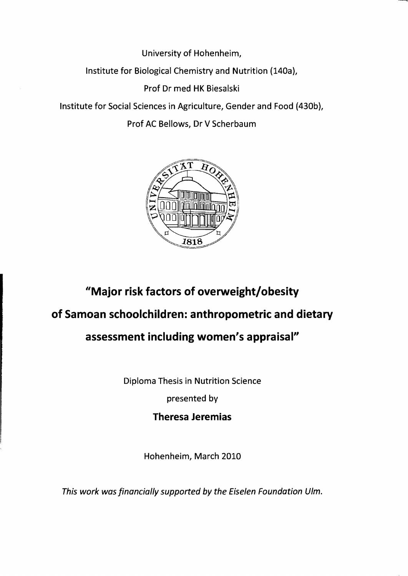University of Hohenheim,

Institute for Biological Chemistry and Nutrition (140a),

Prof Dr med HK Biesalski

Institute for Social Sciences in Agriculture, Gender and Food (430b),

Prof AC Bellows, Dr V Scherbaum



## **"Major risk faetors of overweight/obesity**

## **of Samoan sehoolehildren: anthropometrie and dietary**

## **assessment including women's appraisal"**

Diploma Thesis in Nutrition Science

presented by

**Theresa Jeremias** 

Hohenheim, March 2010

This work was financially supported by the Eiselen Foundation Ulm.